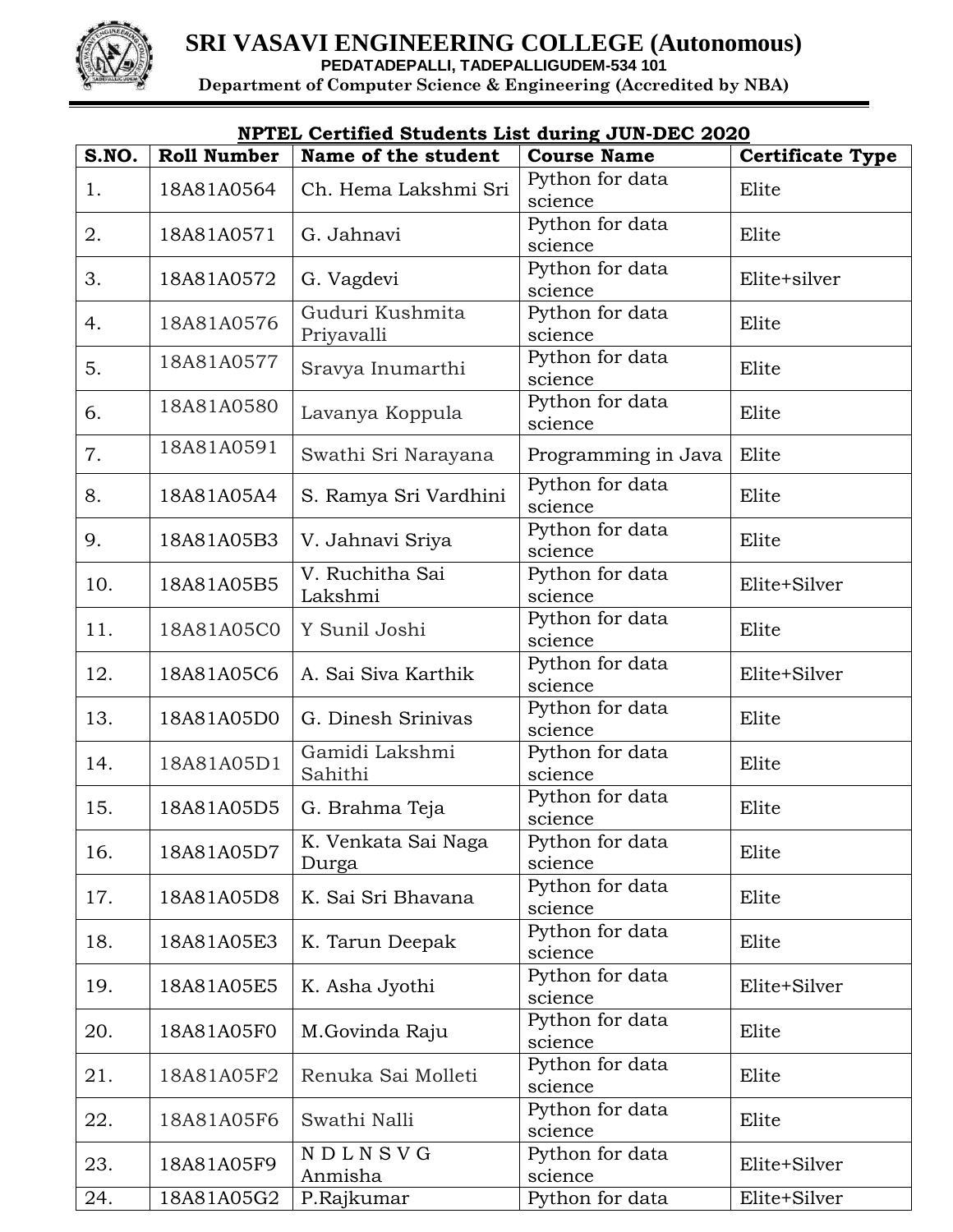

| <u>NPTEL Certified Students List during JUN-DEC 2020</u> |                    |                               |                            |                         |  |  |
|----------------------------------------------------------|--------------------|-------------------------------|----------------------------|-------------------------|--|--|
| S.NO.                                                    | <b>Roll Number</b> | Name of the student           | <b>Course Name</b>         | <b>Certificate Type</b> |  |  |
| 1.                                                       | 18A81A0564         | Ch. Hema Lakshmi Sri          | Python for data<br>science | Elite                   |  |  |
| 2.                                                       | 18A81A0571         | G. Jahnavi                    | Python for data<br>science | Elite                   |  |  |
| 3.                                                       | 18A81A0572         | G. Vagdevi                    | Python for data<br>science | Elite+silver            |  |  |
| 4.                                                       | 18A81A0576         | Guduri Kushmita<br>Priyavalli | Python for data<br>science | Elite                   |  |  |
| 5.                                                       | 18A81A0577         | Sravya Inumarthi              | Python for data<br>science | Elite                   |  |  |
| 6.                                                       | 18A81A0580         | Lavanya Koppula               | Python for data<br>science | Elite                   |  |  |
| 7.                                                       | 18A81A0591         | Swathi Sri Narayana           | Programming in Java        | Elite                   |  |  |
| 8.                                                       | 18A81A05A4         | S. Ramya Sri Vardhini         | Python for data<br>science | Elite                   |  |  |
| 9.                                                       | 18A81A05B3         | V. Jahnavi Sriya              | Python for data<br>science | Elite                   |  |  |
| 10.                                                      | 18A81A05B5         | V. Ruchitha Sai<br>Lakshmi    | Python for data<br>science | Elite+Silver            |  |  |
| 11.                                                      | 18A81A05C0         | Y Sunil Joshi                 | Python for data<br>science | Elite                   |  |  |
| 12.                                                      | 18A81A05C6         | A. Sai Siva Karthik           | Python for data<br>science | Elite+Silver            |  |  |
| 13.                                                      | 18A81A05D0         | G. Dinesh Srinivas            | Python for data<br>science | Elite                   |  |  |
| 14.                                                      | 18A81A05D1         | Gamidi Lakshmi<br>Sahithi     | Python for data<br>science | Elite                   |  |  |
| 15.                                                      | 18A81A05D5         | G. Brahma Teja                | Python for data<br>science | Elite                   |  |  |
| 16.                                                      | 18A81A05D7         | K. Venkata Sai Naga<br>Durga  | Python for data<br>science | Elite                   |  |  |
| 17.                                                      | 18A81A05D8         | K. Sai Sri Bhavana            | Python for data<br>science | Elite                   |  |  |
| 18.                                                      | 18A81A05E3         | K. Tarun Deepak               | Python for data<br>science | Elite                   |  |  |
| 19.                                                      | 18A81A05E5         | K. Asha Jyothi                | Python for data<br>science | Elite+Silver            |  |  |
| 20.                                                      | 18A81A05F0         | M.Govinda Raju                | Python for data<br>science | Elite                   |  |  |
| 21.                                                      | 18A81A05F2         | Renuka Sai Molleti            | Python for data<br>science | Elite                   |  |  |
| 22.                                                      | 18A81A05F6         | Swathi Nalli                  | Python for data<br>science | Elite                   |  |  |
| 23.                                                      | 18A81A05F9         | NDLNSVG<br>Anmisha            | Python for data<br>science | Elite+Silver            |  |  |
| 24.                                                      | 18A81A05G2         | P.Rajkumar                    | Python for data            | Elite+Silver            |  |  |

## **NPTEL Certified Students List during JUN-DEC 2020**